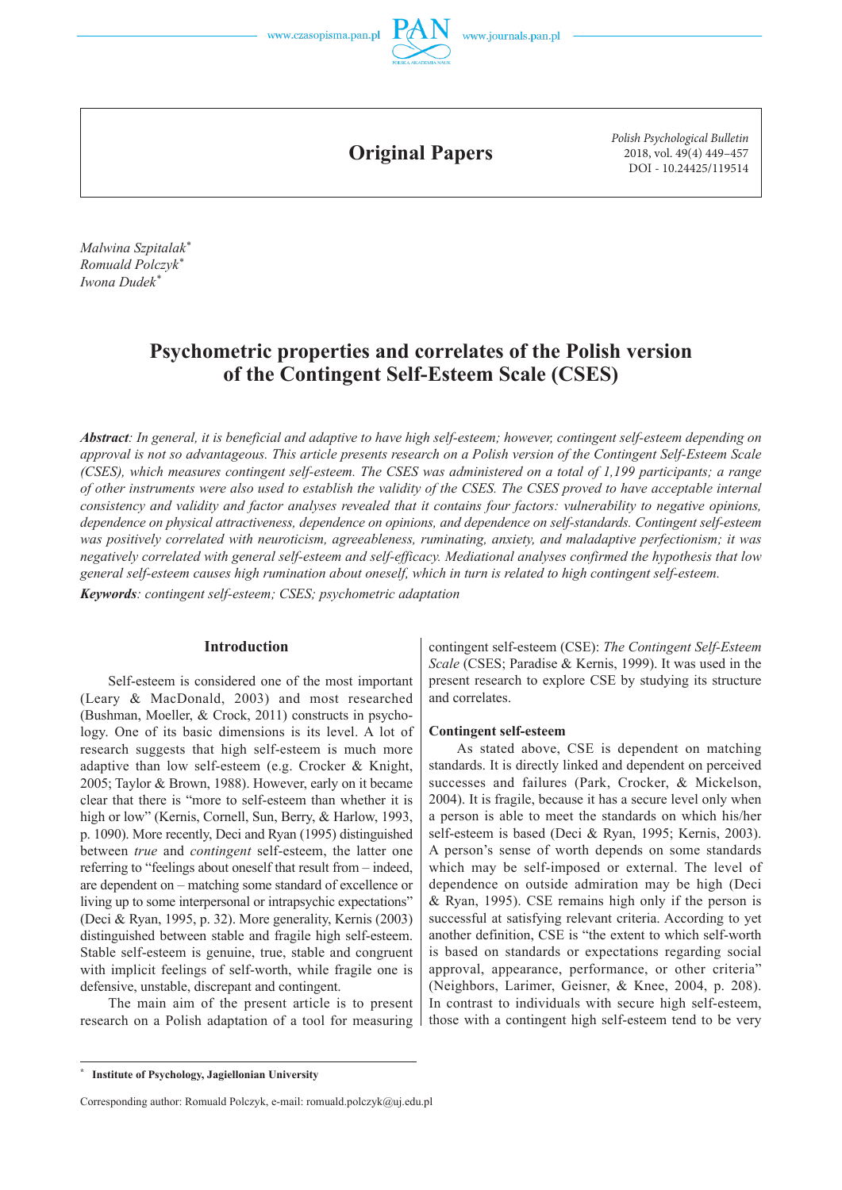

**Original Papers**

*Polish Psychological Bulletin* 2018, vol. 49(4) 449–457 DOI - 10.24425/119514

*Malwina Szpitalak\* Romuald Polczyk\* Iwona Dudek\**

# **Psychometric properties and correlates of the Polish version of the Contingent Self-Esteem Scale (CSES)**

Abstract: In general, it is beneficial and adaptive to have high self-esteem; however, contingent self-esteem depending on *approval is not so advantageous. This article presents research on a Polish version of the Contingent Self-Esteem Scale (CSES), which measures contingent self-esteem. The CSES was administered on a total of 1,199 participants; a range of other instruments were also used to establish the validity of the CSES. The CSES proved to have acceptable internal consistency and validity and factor analyses revealed that it contains four factors: vulnerability to negative opinions, dependence on physical attractiveness, dependence on opinions, and dependence on self-standards. Contingent self-esteem was positively correlated with neuroticism, agreeableness, ruminating, anxiety, and maladaptive perfectionism; it was negatively correlated with general self-esteem and self-efficacy. Mediational analyses confirmed the hypothesis that low general self-esteem causes high rumination about oneself, which in turn is related to high contingent self-esteem.* 

*Keywords: contingent self-esteem; CSES; psychometric adaptation*

## **Introduction**

Self-esteem is considered one of the most important (Leary & MacDonald, 2003) and most researched (Bushman, Moeller, & Crock, 2011) constructs in psychology. One of its basic dimensions is its level. A lot of research suggests that high self-esteem is much more adaptive than low self-esteem (e.g. Crocker & Knight, 2005; Taylor & Brown, 1988). However, early on it became clear that there is "more to self-esteem than whether it is high or low" (Kernis, Cornell, Sun, Berry, & Harlow, 1993, p. 1090). More recently, Deci and Ryan (1995) distinguished between *true* and *contingent* self-esteem, the latter one referring to "feelings about oneself that result from – indeed, are dependent on – matching some standard of excellence or living up to some interpersonal or intrapsychic expectations" (Deci & Ryan, 1995, p. 32). More generality, Kernis (2003) distinguished between stable and fragile high self-esteem. Stable self-esteem is genuine, true, stable and congruent with implicit feelings of self-worth, while fragile one is defensive, unstable, discrepant and contingent.

The main aim of the present article is to present research on a Polish adaptation of a tool for measuring

contingent self-esteem (CSE): *The Contingent Self-Esteem Scale* (CSES; Paradise & Kernis, 1999). It was used in the present research to explore CSE by studying its structure and correlates.

### **Contingent self-esteem**

As stated above, CSE is dependent on matching standards. It is directly linked and dependent on perceived successes and failures (Park, Crocker, & Mickelson, 2004). It is fragile, because it has a secure level only when a person is able to meet the standards on which his/her self-esteem is based (Deci & Ryan, 1995; Kernis, 2003). A person's sense of worth depends on some standards which may be self-imposed or external. The level of dependence on outside admiration may be high (Deci & Ryan, 1995). CSE remains high only if the person is successful at satisfying relevant criteria. According to yet another definition, CSE is "the extent to which self-worth is based on standards or expectations regarding social approval, appearance, performance, or other criteria" (Neighbors, Larimer, Geisner, & Knee, 2004, p. 208). In contrast to individuals with secure high self-esteem, those with a contingent high self-esteem tend to be very

**<sup>\*</sup> Institute of Psychology, Jagiellonian University**

Corresponding author: Romuald Polczyk, e-mail: romuald.polczyk@uj.edu.pl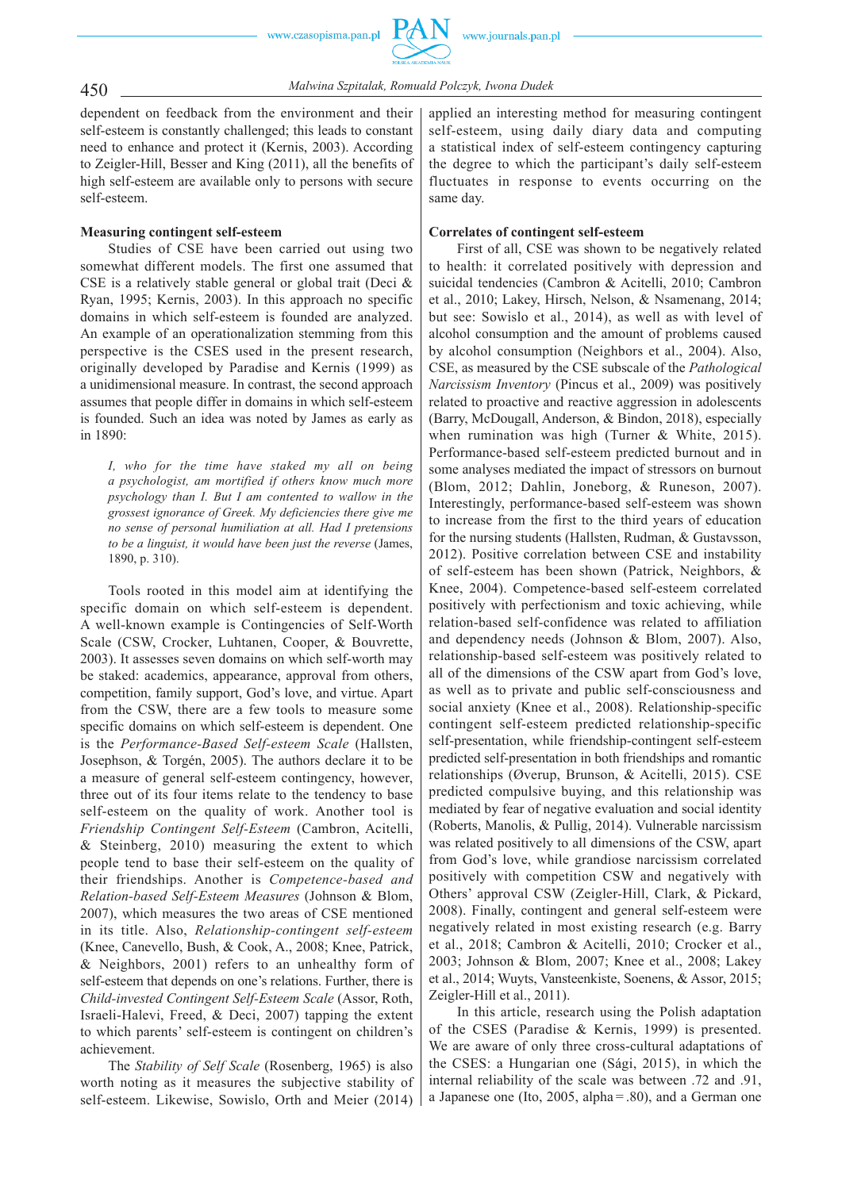450 *Malwina Szpitalak, Romuald Polczyk, Iwona Dudek*

dependent on feedback from the environment and their self-esteem is constantly challenged; this leads to constant need to enhance and protect it (Kernis, 2003). According to Zeigler-Hill, Besser and King (2011), all the benefits of high self-esteem are available only to persons with secure self-esteem.

## **Measuring contingent self-esteem**

Studies of CSE have been carried out using two somewhat different models. The first one assumed that CSE is a relatively stable general or global trait (Deci & Ryan, 1995; Kernis, 2003). In this approach no specific domains in which self-esteem is founded are analyzed. An example of an operationalization stemming from this perspective is the CSES used in the present research, originally developed by Paradise and Kernis (1999) as a unidimensional measure. In contrast, the second approach assumes that people differ in domains in which self-esteem is founded. Such an idea was noted by James as early as in 1890:

*I, who for the time have staked my all on being a psychologist, am mortified if others know much more psychology than I. But I am contented to wallow in the grossest ignorance of Greek. My deficiencies there give me no sense of personal humiliation at all. Had I pretensions to be a linguist, it would have been just the reverse* (James, 1890, p. 310).

Tools rooted in this model aim at identifying the specific domain on which self-esteem is dependent. A well-known example is Contingencies of Self-Worth Scale (CSW, Crocker, Luhtanen, Cooper, & Bouvrette, 2003). It assesses seven domains on which self-worth may be staked: academics, appearance, approval from others, competition, family support, God's love, and virtue. Apart from the CSW, there are a few tools to measure some specific domains on which self-esteem is dependent. One is the *Performance-Based Self-esteem Scale* (Hallsten, Josephson, & Torgén, 2005). The authors declare it to be a measure of general self-esteem contingency, however, three out of its four items relate to the tendency to base self-esteem on the quality of work. Another tool is *Friendship Contingent Self-Esteem* (Cambron, Acitelli, & Steinberg, 2010) measuring the extent to which people tend to base their self-esteem on the quality of their friendships. Another is *Competence-based and Relation-based Self-Esteem Measures* (Johnson & Blom, 2007), which measures the two areas of CSE mentioned in its title. Also, *Relationship-contingent self-esteem* (Knee, Canevello, Bush, & Cook, A., 2008; Knee, Patrick, & Neighbors, 2001) refers to an unhealthy form of self-esteem that depends on one's relations. Further, there is *Child-invested Contingent Self-Esteem Scale* (Assor, Roth, Israeli-Halevi, Freed, & Deci, 2007) tapping the extent to which parents' self-esteem is contingent on children's achievement.

The *Stability of Self Scale* (Rosenberg, 1965) is also worth noting as it measures the subjective stability of self-esteem. Likewise, Sowislo, Orth and Meier (2014) applied an interesting method for measuring contingent self-esteem, using daily diary data and computing a statistical index of self-esteem contingency capturing the degree to which the participant's daily self-esteem fluctuates in response to events occurring on the same day.

## **Correlates of contingent self-esteem**

First of all, CSE was shown to be negatively related to health: it correlated positively with depression and suicidal tendencies (Cambron & Acitelli, 2010; Cambron et al., 2010; Lakey, Hirsch, Nelson, & Nsamenang, 2014; but see: Sowislo et al., 2014), as well as with level of alcohol consumption and the amount of problems caused by alcohol consumption (Neighbors et al., 2004). Also, CSE, as measured by the CSE subscale of the *Pathological Narcissism Inventory* (Pincus et al., 2009) was positively related to proactive and reactive aggression in adolescents (Barry, McDougall, Anderson, & Bindon, 2018), especially when rumination was high (Turner & White, 2015). Performance-based self-esteem predicted burnout and in some analyses mediated the impact of stressors on burnout (Blom, 2012; Dahlin, Joneborg, & Runeson, 2007). Interestingly, performance-based self-esteem was shown to increase from the first to the third years of education for the nursing students (Hallsten, Rudman, & Gustavsson, 2012). Positive correlation between CSE and instability of self-esteem has been shown (Patrick, Neighbors, & Knee, 2004). Competence-based self-esteem correlated positively with perfectionism and toxic achieving, while relation-based self-confidence was related to affiliation and dependency needs (Johnson & Blom, 2007). Also, relationship-based self-esteem was positively related to all of the dimensions of the CSW apart from God's love, as well as to private and public self-consciousness and social anxiety (Knee et al., 2008). Relationship-specific contingent self-esteem predicted relationship-specific self-presentation, while friendship-contingent self-esteem predicted self-presentation in both friendships and romantic relationships (Øverup, Brunson, & Acitelli, 2015). CSE predicted compulsive buying, and this relationship was mediated by fear of negative evaluation and social identity (Roberts, Manolis, & Pullig, 2014). Vulnerable narcissism was related positively to all dimensions of the CSW, apart from God's love, while grandiose narcissism correlated positively with competition CSW and negatively with Others' approval CSW (Zeigler-Hill, Clark, & Pickard, 2008). Finally, contingent and general self-esteem were negatively related in most existing research (e.g. Barry et al., 2018; Cambron & Acitelli, 2010; Crocker et al., 2003; Johnson & Blom, 2007; Knee et al., 2008; Lakey et al., 2014; Wuyts, Vansteenkiste, Soenens, & Assor, 2015; Zeigler-Hill et al., 2011).

In this article, research using the Polish adaptation of the CSES (Paradise & Kernis, 1999) is presented. We are aware of only three cross-cultural adaptations of the CSES: a Hungarian one (Sági, 2015), in which the internal reliability of the scale was between .72 and .91, a Japanese one (Ito, 2005, alpha  $= 0.80$ ), and a German one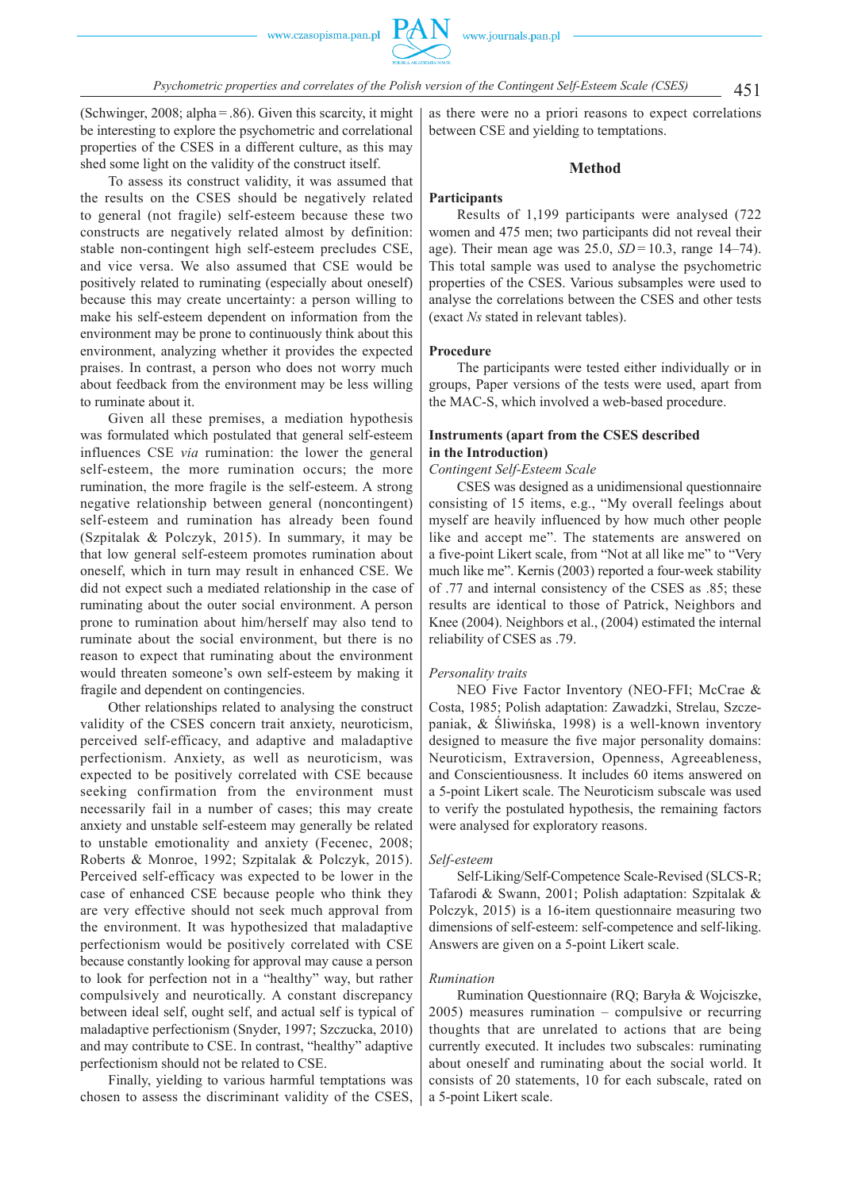(Schwinger, 2008; alpha  $= 0.86$ ). Given this scarcity, it might be interesting to explore the psychometric and correlational properties of the CSES in a different culture, as this may shed some light on the validity of the construct itself.

To assess its construct validity, it was assumed that the results on the CSES should be negatively related to general (not fragile) self-esteem because these two constructs are negatively related almost by definition: stable non-contingent high self-esteem precludes CSE, and vice versa. We also assumed that CSE would be positively related to ruminating (especially about oneself) because this may create uncertainty: a person willing to make his self-esteem dependent on information from the environment may be prone to continuously think about this environment, analyzing whether it provides the expected praises. In contrast, a person who does not worry much about feedback from the environment may be less willing to ruminate about it.

Given all these premises, a mediation hypothesis was formulated which postulated that general self-esteem influences CSE *via* rumination: the lower the general self-esteem, the more rumination occurs; the more rumination, the more fragile is the self-esteem. A strong negative relationship between general (noncontingent) self-esteem and rumination has already been found (Szpitalak & Polczyk, 2015). In summary, it may be that low general self-esteem promotes rumination about oneself, which in turn may result in enhanced CSE. We did not expect such a mediated relationship in the case of ruminating about the outer social environment. A person prone to rumination about him/herself may also tend to ruminate about the social environment, but there is no reason to expect that ruminating about the environment would threaten someone's own self-esteem by making it fragile and dependent on contingencies.

Other relationships related to analysing the construct validity of the CSES concern trait anxiety, neuroticism, perceived self-efficacy, and adaptive and maladaptive perfectionism. Anxiety, as well as neuroticism, was expected to be positively correlated with CSE because seeking confirmation from the environment must necessarily fail in a number of cases; this may create anxiety and unstable self-esteem may generally be related to unstable emotionality and anxiety (Fecenec, 2008; Roberts & Monroe, 1992; Szpitalak & Polczyk, 2015). Perceived self-efficacy was expected to be lower in the case of enhanced CSE because people who think they are very effective should not seek much approval from the environment. It was hypothesized that maladaptive perfectionism would be positively correlated with CSE because constantly looking for approval may cause a person to look for perfection not in a "healthy" way, but rather compulsively and neurotically. A constant discrepancy between ideal self, ought self, and actual self is typical of maladaptive perfectionism (Snyder, 1997; Szczucka, 2010) and may contribute to CSE. In contrast, "healthy" adaptive perfectionism should not be related to CSE.

Finally, yielding to various harmful temptations was chosen to assess the discriminant validity of the CSES, as there were no a priori reasons to expect correlations between CSE and yielding to temptations.

### **Method**

## **Participants**

Results of 1,199 participants were analysed (722 women and 475 men; two participants did not reveal their age). Their mean age was 25.0, *SD* = 10.3, range 14–74). This total sample was used to analyse the psychometric properties of the CSES. Various subsamples were used to analyse the correlations between the CSES and other tests (exact *Ns* stated in relevant tables).

### **Procedure**

The participants were tested either individually or in groups, Paper versions of the tests were used, apart from the MAC-S, which involved a web-based procedure.

## **Instruments (apart from the CSES described in the Introduction)**

### *Contingent Self-Esteem Scale*

CSES was designed as a unidimensional questionnaire consisting of 15 items, e.g., "My overall feelings about myself are heavily influenced by how much other people like and accept me". The statements are answered on a five-point Likert scale, from "Not at all like me" to "Very much like me". Kernis (2003) reported a four-week stability of .77 and internal consistency of the CSES as .85; these results are identical to those of Patrick, Neighbors and Knee (2004). Neighbors et al., (2004) estimated the internal reliability of CSES as .79.

### *Personality traits*

NEO Five Factor Inventory (NEO-FFI; McCrae & Costa, 1985; Polish adaptation: Zawadzki, Strelau, Szczepaniak, & Śliwińska, 1998) is a well-known inventory designed to measure the five major personality domains: Neuroticism, Extraversion, Openness, Agreeableness, and Conscientiousness. It includes 60 items answered on a 5-point Likert scale. The Neuroticism subscale was used to verify the postulated hypothesis, the remaining factors were analysed for exploratory reasons.

#### *Self-esteem*

Self-Liking/Self-Competence Scale-Revised (SLCS-R; Tafarodi & Swann, 2001; Polish adaptation: Szpitalak & Polczyk, 2015) is a 16-item questionnaire measuring two dimensions of self-esteem: self-competence and self-liking. Answers are given on a 5-point Likert scale.

### *Rumination*

Rumination Questionnaire (RQ; Baryła & Wojciszke, 2005) measures rumination – compulsive or recurring thoughts that are unrelated to actions that are being currently executed. It includes two subscales: ruminating about oneself and ruminating about the social world. It consists of 20 statements, 10 for each subscale, rated on a 5-point Likert scale.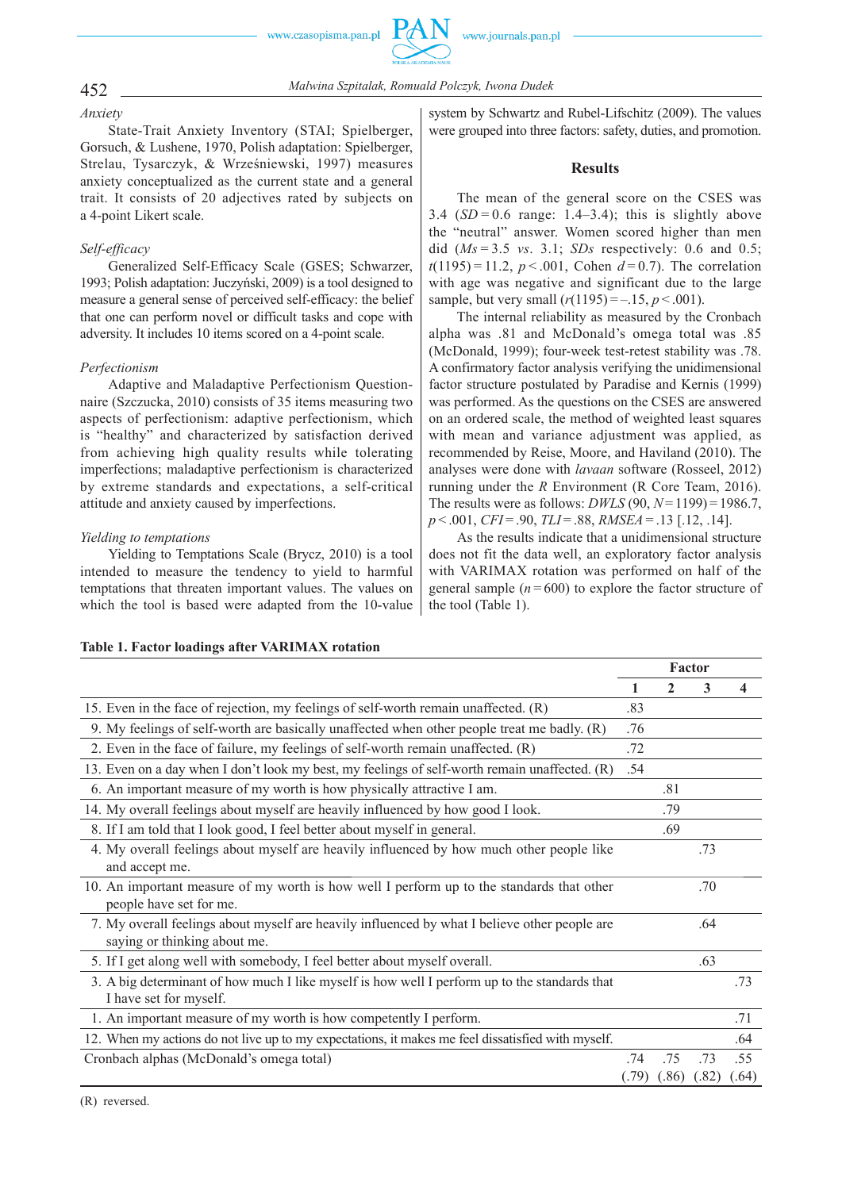

# 452 *Malwina Szpitalak, Romuald Polczyk, Iwona Dudek*

*Anxiety*

State-Trait Anxiety Inventory (STAI; Spielberger, Gorsuch, & Lushene, 1970, Polish adaptation: Spielberger, Strelau, Tysarczyk, & Wrześniewski, 1997) measures anxiety conceptualized as the current state and a general trait. It consists of 20 adjectives rated by subjects on a 4-point Likert scale.

# *Self-efficacy*

Generalized Self-Efficacy Scale (GSES; Schwarzer, 1993; Polish adaptation: Juczyński, 2009) is a tool designed to measure a general sense of perceived self-efficacy: the belief that one can perform novel or difficult tasks and cope with adversity. It includes 10 items scored on a 4-point scale.

# *Perfectionism*

Adaptive and Maladaptive Perfectionism Questionnaire (Szczucka, 2010) consists of 35 items measuring two aspects of perfectionism: adaptive perfectionism, which is "healthy" and characterized by satisfaction derived from achieving high quality results while tolerating imperfections; maladaptive perfectionism is characterized by extreme standards and expectations, a self-critical attitude and anxiety caused by imperfections.

# *Yielding to temptations*

Yielding to Temptations Scale (Brycz, 2010) is a tool intended to measure the tendency to yield to harmful temptations that threaten important values. The values on which the tool is based were adapted from the 10-value system by Schwartz and Rubel-Lifschitz (2009). The values were grouped into three factors: safety, duties, and promotion.

# **Results**

The mean of the general score on the CSES was 3.4  $(SD = 0.6$  range: 1.4–3.4); this is slightly above the "neutral" answer. Women scored higher than men did (*Ms* = 3.5 *vs*. 3.1; *SDs* respectively: 0.6 and 0.5;  $t(1195) = 11.2$ ,  $p < .001$ , Cohen  $d = 0.7$ ). The correlation with age was negative and significant due to the large sample, but very small  $(r(1195) = -.15, p < .001)$ .

The internal reliability as measured by the Cronbach alpha was .81 and McDonald's omega total was .85 (McDonald, 1999); four-week test-retest stability was .78. A confirmatory factor analysis verifying the unidimensional factor structure postulated by Paradise and Kernis (1999) was performed. As the questions on the CSES are answered on an ordered scale, the method of weighted least squares with mean and variance adjustment was applied, as recommended by Reise, Moore, and Haviland (2010). The analyses were done with *lavaan* software (Rosseel, 2012) running under the *R* Environment (R Core Team, 2016). The results were as follows: *DWLS* (90, *N* = 1199) = 1986.7, *p* < .001, *CFI* = .90, *TLI* = .88, *RMSEA* = .13 [.12, .14].

As the results indicate that a unidimensional structure does not fit the data well, an exploratory factor analysis with VARIMAX rotation was performed on half of the general sample  $(n = 600)$  to explore the factor structure of the tool (Table 1).

|                                                                                                                               | Factor |       |       |       |
|-------------------------------------------------------------------------------------------------------------------------------|--------|-------|-------|-------|
|                                                                                                                               | 1      | 2     | 3     | 4     |
| 15. Even in the face of rejection, my feelings of self-worth remain unaffected. (R)                                           | .83    |       |       |       |
| 9. My feelings of self-worth are basically unaffected when other people treat me badly. (R)                                   | .76    |       |       |       |
| 2. Even in the face of failure, my feelings of self-worth remain unaffected. (R)                                              | .72    |       |       |       |
| 13. Even on a day when I don't look my best, my feelings of self-worth remain unaffected. (R)                                 | .54    |       |       |       |
| 6. An important measure of my worth is how physically attractive I am.                                                        |        | .81   |       |       |
| 14. My overall feelings about myself are heavily influenced by how good I look.                                               |        | .79   |       |       |
| 8. If I am told that I look good, I feel better about myself in general.                                                      |        | .69   |       |       |
| 4. My overall feelings about myself are heavily influenced by how much other people like                                      |        |       | .73   |       |
| and accept me.                                                                                                                |        |       |       |       |
| 10. An important measure of my worth is how well I perform up to the standards that other<br>people have set for me.          |        |       | .70   |       |
| 7. My overall feelings about myself are heavily influenced by what I believe other people are<br>saying or thinking about me. |        |       | .64   |       |
| 5. If I get along well with somebody, I feel better about myself overall.                                                     |        |       | .63   |       |
| 3. A big determinant of how much I like myself is how well I perform up to the standards that<br>I have set for myself.       |        |       |       | .73   |
| 1. An important measure of my worth is how competently I perform.                                                             |        |       |       | .71   |
| 12. When my actions do not live up to my expectations, it makes me feel dissatisfied with myself.                             |        |       |       | .64   |
| Cronbach alphas (McDonald's omega total)                                                                                      | .74    | .75   | .73   | .55   |
|                                                                                                                               | (.79)  | (.86) | (.82) | (.64) |

# **Table 1. Factor loadings after VARIMAX rotation**

(R) reversed.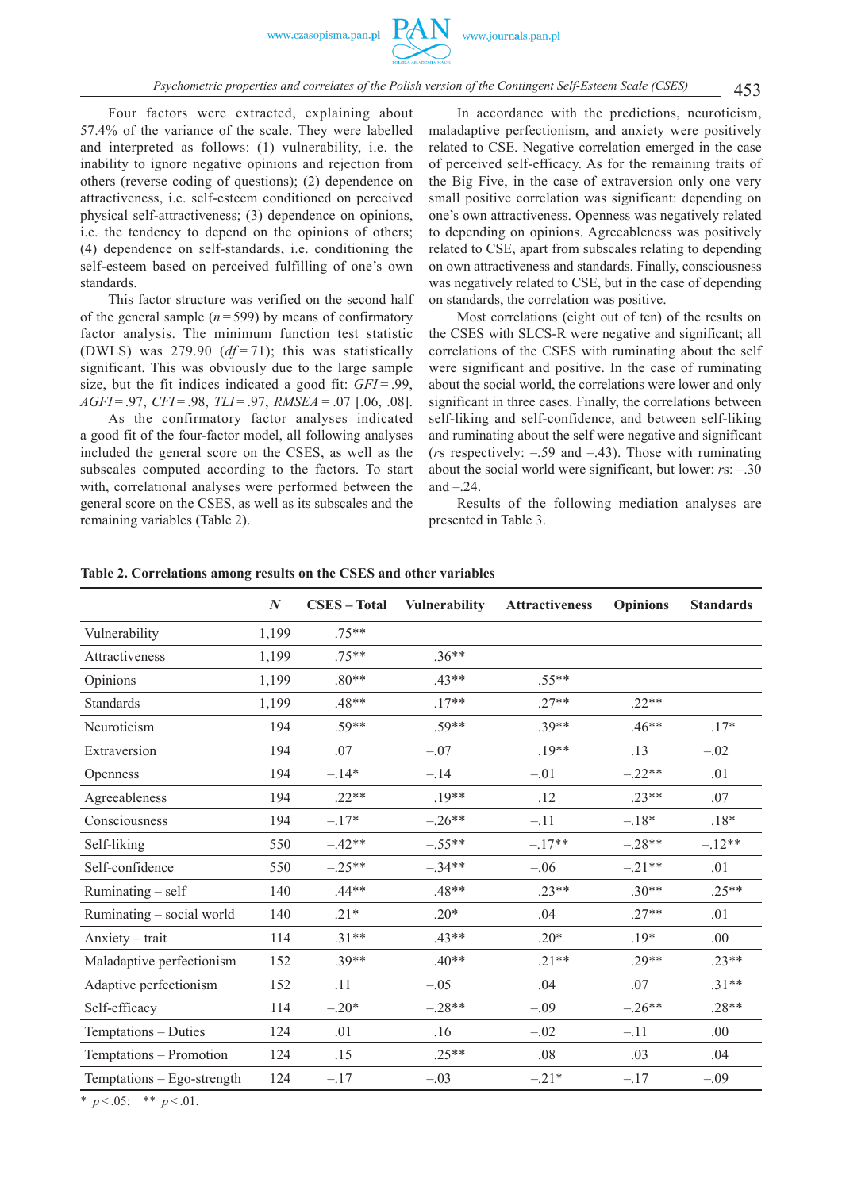Four factors were extracted, explaining about 57.4% of the variance of the scale. They were labelled and interpreted as follows: (1) vulnerability, i.e. the inability to ignore negative opinions and rejection from others (reverse coding of questions); (2) dependence on attractiveness, i.e. self-esteem conditioned on perceived physical self-attractiveness; (3) dependence on opinions, i.e. the tendency to depend on the opinions of others; (4) dependence on self-standards, i.e. conditioning the self-esteem based on perceived fulfilling of one's own standards.

This factor structure was verified on the second half of the general sample  $(n=599)$  by means of confirmatory factor analysis. The minimum function test statistic (DWLS) was  $279.90$  ( $df = 71$ ); this was statistically significant. This was obviously due to the large sample size, but the fit indices indicated a good fit: *GFI* = .99. *AGFI* = .97, *CFI* = .98, *TLI* = .97, *RMSEA =* .07 [.06, .08].

As the confirmatory factor analyses indicated a good fit of the four-factor model, all following analyses included the general score on the CSES, as well as the subscales computed according to the factors. To start with, correlational analyses were performed between the general score on the CSES, as well as its subscales and the remaining variables (Table 2).

 In accordance with the predictions, neuroticism, maladaptive perfectionism, and anxiety were positively related to CSE. Negative correlation emerged in the case of perceived self-efficacy. As for the remaining traits of the Big Five, in the case of extraversion only one very small positive correlation was significant: depending on one's own attractiveness. Openness was negatively related to depending on opinions. Agreeableness was positively related to CSE, apart from subscales relating to depending on own attractiveness and standards. Finally, consciousness was negatively related to CSE, but in the case of depending on standards, the correlation was positive.

Most correlations (eight out of ten) of the results on the CSES with SLCS-R were negative and significant; all correlations of the CSES with ruminating about the self were significant and positive. In the case of ruminating about the social world, the correlations were lower and only significant in three cases. Finally, the correlations between self-liking and self-confidence, and between self-liking and ruminating about the self were negative and significant (*r*s respectively: –.59 and –.43). Those with ruminating about the social world were significant, but lower: *r*s: –.30 and  $-.24$ .

Results of the following mediation analyses are presented in Table 3.

|                            | $\boldsymbol{N}$ | <b>CSES</b> - Total | Vulnerability | <b>Attractiveness</b> | <b>Opinions</b> | <b>Standards</b> |
|----------------------------|------------------|---------------------|---------------|-----------------------|-----------------|------------------|
| Vulnerability              | 1,199            | $75**$              |               |                       |                 |                  |
| Attractiveness             | 1,199            | $.75**$             | $.36**$       |                       |                 |                  |
| Opinions                   | 1,199            | $.80**$             | $.43**$       | $.55**$               |                 |                  |
| <b>Standards</b>           | 1,199            | $.48**$             | $.17**$       | $.27**$               | $.22**$         |                  |
| Neuroticism                | 194              | $.59**$             | $.59**$       | $.39**$               | $.46**$         | $.17*$           |
| Extraversion               | 194              | .07                 | $-.07$        | $.19**$               | .13             | $-.02$           |
| Openness                   | 194              | $-.14*$             | $-.14$        | $-.01$                | $-.22**$        | .01              |
| Agreeableness              | 194              | $.22**$             | $.19**$       | .12                   | $.23**$         | .07              |
| Consciousness              | 194              | $-.17*$             | $-.26**$      | $-.11$                | $-.18*$         | $.18*$           |
| Self-liking                | 550              | $-.42**$            | $-.55**$      | $-.17**$              | $-.28**$        | $-.12**$         |
| Self-confidence            | 550              | $-.25**$            | $-.34**$      | $-.06$                | $-.21**$        | .01              |
| Ruminating – self          | 140              | $.44**$             | $.48**$       | $.23**$               | $.30**$         | $.25**$          |
| Ruminating - social world  | 140              | $.21*$              | $.20*$        | .04                   | $.27**$         | .01              |
| Anxiety - trait            | 114              | $.31**$             | $.43**$       | $.20*$                | $.19*$          | .00              |
| Maladaptive perfectionism  | 152              | $.39**$             | $.40**$       | $.21**$               | $.29**$         | $.23**$          |
| Adaptive perfectionism     | 152              | .11                 | $-.05$        | .04                   | .07             | $.31**$          |
| Self-efficacy              | 114              | $-.20*$             | $-.28**$      | $-.09$                | $-.26**$        | $.28**$          |
| Temptations - Duties       | 124              | .01                 | .16           | $-.02$                | $-.11$          | .00              |
| Temptations - Promotion    | 124              | .15                 | $.25**$       | .08                   | .03             | .04              |
| Temptations - Ego-strength | 124              | $-.17$              | $-.03$        | $-.21*$               | $-.17$          | $-.09$           |

**Table 2. Correlations among results on the CSES and other variables**

\*  $p < .05$ ; \*\*  $p < .01$ .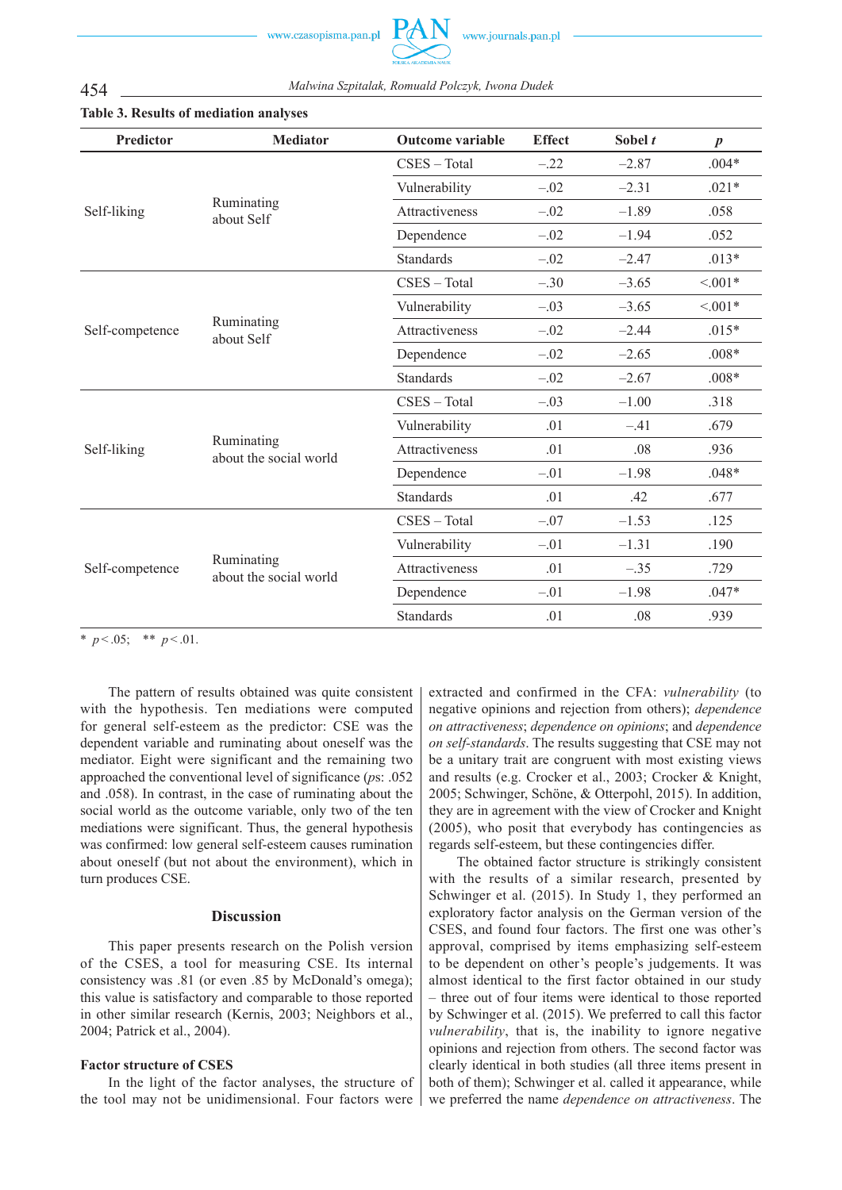454 *Malwina Szpitalak, Romuald Polczyk, Iwona Dudek*



| <b>Predictor</b> | <b>Mediator</b>                      | <b>Outcome variable</b> | <b>Effect</b> | Sobel t | $\boldsymbol{p}$ |
|------------------|--------------------------------------|-------------------------|---------------|---------|------------------|
| Self-liking      |                                      | CSES - Total            | $-.22$        | $-2.87$ | $.004*$          |
|                  | Ruminating<br>about Self             | Vulnerability           | $-.02$        | $-2.31$ | $.021*$          |
|                  |                                      | <b>Attractiveness</b>   | $-.02$        | $-1.89$ | .058             |
|                  |                                      | Dependence              | $-.02$        | $-1.94$ | .052             |
|                  |                                      | <b>Standards</b>        | $-.02$        | $-2.47$ | $.013*$          |
| Self-competence  |                                      | CSES - Total            | $-.30$        | $-3.65$ | $< 0.01*$        |
|                  | Ruminating<br>about Self             | Vulnerability           | $-.03$        | $-3.65$ | $< 0.01*$        |
|                  |                                      | Attractiveness          | $-.02$        | $-2.44$ | $.015*$          |
|                  |                                      | Dependence              | $-.02$        | $-2.65$ | $.008*$          |
|                  |                                      | <b>Standards</b>        | $-.02$        | $-2.67$ | $.008*$          |
| Self-liking      | Ruminating<br>about the social world | CSES - Total            | $-.03$        | $-1.00$ | .318             |
|                  |                                      | Vulnerability           | .01           | $-.41$  | .679             |
|                  |                                      | <b>Attractiveness</b>   | .01           | .08     | .936             |
|                  |                                      | Dependence              | $-.01$        | $-1.98$ | $.048*$          |
|                  |                                      | <b>Standards</b>        | .01           | .42     | .677             |
| Self-competence  | Ruminating<br>about the social world | CSES - Total            | $-.07$        | $-1.53$ | .125             |
|                  |                                      | Vulnerability           | $-.01$        | $-1.31$ | .190             |
|                  |                                      | Attractiveness          | .01           | $-.35$  | .729             |
|                  |                                      | Dependence              | $-.01$        | $-1.98$ | $.047*$          |
|                  |                                      | <b>Standards</b>        | .01           | .08     | .939             |

# **Table 3. Results of mediation analyses**

\*  $p < .05$ ; \*\*  $p < .01$ .

The pattern of results obtained was quite consistent with the hypothesis. Ten mediations were computed for general self-esteem as the predictor: CSE was the dependent variable and ruminating about oneself was the mediator. Eight were significant and the remaining two approached the conventional level of significance (*p*s: .052 and .058). In contrast, in the case of ruminating about the social world as the outcome variable, only two of the ten mediations were significant. Thus, the general hypothesis was confirmed: low general self-esteem causes rumination about oneself (but not about the environment), which in turn produces CSE.

### **Discussion**

This paper presents research on the Polish version of the CSES, a tool for measuring CSE. Its internal consistency was .81 (or even .85 by McDonald's omega); this value is satisfactory and comparable to those reported in other similar research (Kernis, 2003; Neighbors et al., 2004; Patrick et al., 2004).

## **Factor structure of CSES**

In the light of the factor analyses, the structure of the tool may not be unidimensional. Four factors were extracted and confirmed in the CFA: *vulnerability* (to negative opinions and rejection from others); *dependence on attractiveness*; *dependence on opinions*; and *dependence on self-standards*. The results suggesting that CSE may not be a unitary trait are congruent with most existing views and results (e.g. Crocker et al., 2003; Crocker & Knight, 2005; Schwinger, Schöne, & Otterpohl, 2015). In addition, they are in agreement with the view of Crocker and Knight (2005), who posit that everybody has contingencies as regards self-esteem, but these contingencies differ.

The obtained factor structure is strikingly consistent with the results of a similar research, presented by Schwinger et al. (2015). In Study 1, they performed an exploratory factor analysis on the German version of the CSES, and found four factors. The first one was other's approval, comprised by items emphasizing self-esteem to be dependent on other's people's judgements. It was almost identical to the first factor obtained in our study – three out of four items were identical to those reported by Schwinger et al. (2015). We preferred to call this factor *vulnerability*, that is, the inability to ignore negative opinions and rejection from others. The second factor was clearly identical in both studies (all three items present in both of them); Schwinger et al. called it appearance, while we preferred the name *dependence on attractiveness*. The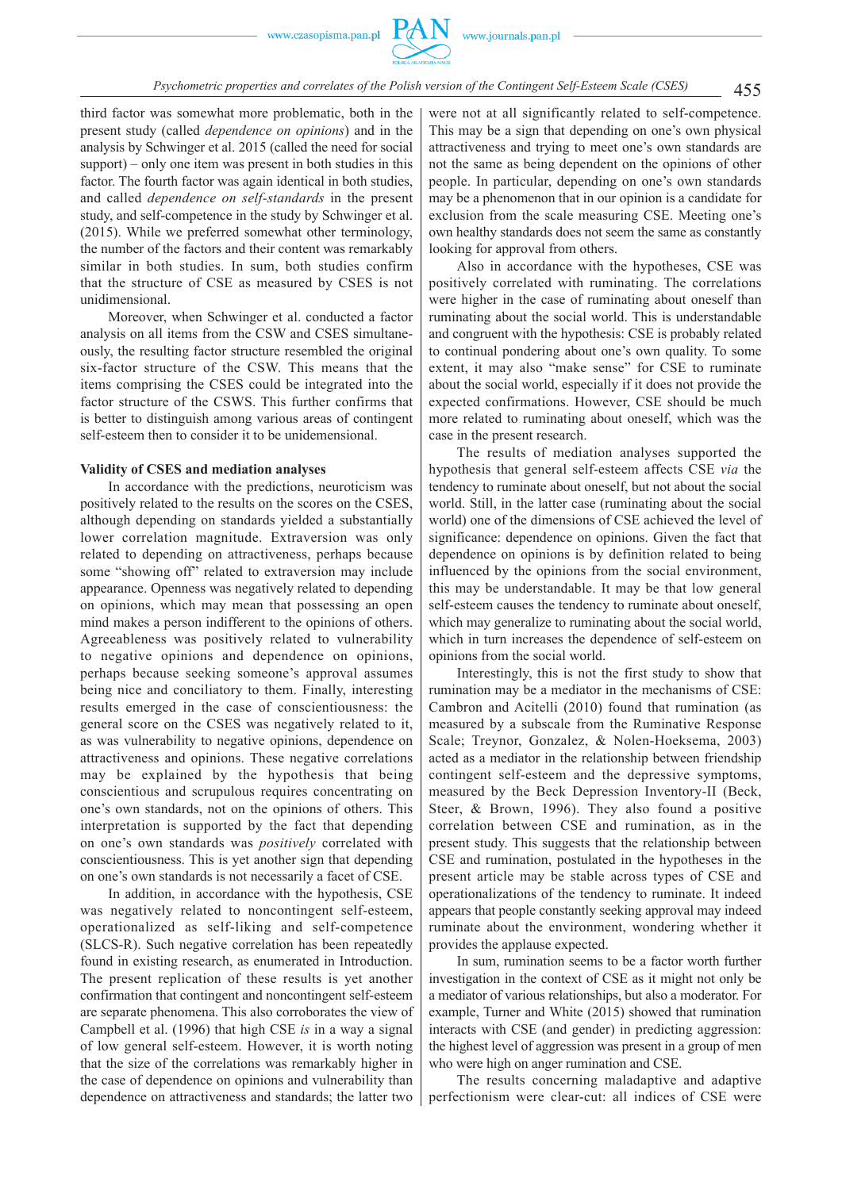

third factor was somewhat more problematic, both in the present study (called *dependence on opinions*) and in the analysis by Schwinger et al. 2015 (called the need for social support) – only one item was present in both studies in this factor. The fourth factor was again identical in both studies, and called *dependence on self-standards* in the present study, and self-competence in the study by Schwinger et al. (2015). While we preferred somewhat other terminology, the number of the factors and their content was remarkably similar in both studies. In sum, both studies confirm that the structure of CSE as measured by CSES is not unidimensional.

Moreover, when Schwinger et al. conducted a factor analysis on all items from the CSW and CSES simultaneously, the resulting factor structure resembled the original six-factor structure of the CSW. This means that the items comprising the CSES could be integrated into the factor structure of the CSWS. This further confirms that is better to distinguish among various areas of contingent self-esteem then to consider it to be unidemensional.

### **Validity of CSES and mediation analyses**

In accordance with the predictions, neuroticism was positively related to the results on the scores on the CSES, although depending on standards yielded a substantially lower correlation magnitude. Extraversion was only related to depending on attractiveness, perhaps because some "showing off" related to extraversion may include appearance. Openness was negatively related to depending on opinions, which may mean that possessing an open mind makes a person indifferent to the opinions of others. Agreeableness was positively related to vulnerability to negative opinions and dependence on opinions, perhaps because seeking someone's approval assumes being nice and conciliatory to them. Finally, interesting results emerged in the case of conscientiousness: the general score on the CSES was negatively related to it, as was vulnerability to negative opinions, dependence on attractiveness and opinions. These negative correlations may be explained by the hypothesis that being conscientious and scrupulous requires concentrating on one's own standards, not on the opinions of others. This interpretation is supported by the fact that depending on one's own standards was *positively* correlated with conscientiousness. This is yet another sign that depending on one's own standards is not necessarily a facet of CSE.

In addition, in accordance with the hypothesis, CSE was negatively related to noncontingent self-esteem, operationalized as self-liking and self-competence (SLCS-R). Such negative correlation has been repeatedly found in existing research, as enumerated in Introduction. The present replication of these results is yet another confirmation that contingent and noncontingent self-esteem are separate phenomena. This also corroborates the view of Campbell et al. (1996) that high CSE *is* in a way a signal of low general self-esteem. However, it is worth noting that the size of the correlations was remarkably higher in the case of dependence on opinions and vulnerability than dependence on attractiveness and standards; the latter two

were not at all significantly related to self-competence. This may be a sign that depending on one's own physical attractiveness and trying to meet one's own standards are not the same as being dependent on the opinions of other people. In particular, depending on one's own standards may be a phenomenon that in our opinion is a candidate for exclusion from the scale measuring CSE. Meeting one's own healthy standards does not seem the same as constantly looking for approval from others.

Also in accordance with the hypotheses, CSE was positively correlated with ruminating. The correlations were higher in the case of ruminating about oneself than ruminating about the social world. This is understandable and congruent with the hypothesis: CSE is probably related to continual pondering about one's own quality. To some extent, it may also "make sense" for CSE to ruminate about the social world, especially if it does not provide the expected confirmations. However, CSE should be much more related to ruminating about oneself, which was the case in the present research.

The results of mediation analyses supported the hypothesis that general self-esteem affects CSE *via* the tendency to ruminate about oneself, but not about the social world. Still, in the latter case (ruminating about the social world) one of the dimensions of CSE achieved the level of significance: dependence on opinions. Given the fact that dependence on opinions is by definition related to being influenced by the opinions from the social environment, this may be understandable. It may be that low general self-esteem causes the tendency to ruminate about oneself, which may generalize to ruminating about the social world, which in turn increases the dependence of self-esteem on opinions from the social world.

Interestingly, this is not the first study to show that rumination may be a mediator in the mechanisms of CSE: Cambron and Acitelli (2010) found that rumination (as measured by a subscale from the Ruminative Response Scale; Treynor, Gonzalez, & Nolen-Hoeksema, 2003) acted as a mediator in the relationship between friendship contingent self-esteem and the depressive symptoms, measured by the Beck Depression Inventory-II (Beck, Steer, & Brown, 1996). They also found a positive correlation between CSE and rumination, as in the present study. This suggests that the relationship between CSE and rumination, postulated in the hypotheses in the present article may be stable across types of CSE and operationalizations of the tendency to ruminate. It indeed appears that people constantly seeking approval may indeed ruminate about the environment, wondering whether it provides the applause expected.

In sum, rumination seems to be a factor worth further investigation in the context of CSE as it might not only be a mediator of various relationships, but also a moderator. For example, Turner and White (2015) showed that rumination interacts with CSE (and gender) in predicting aggression: the highest level of aggression was present in a group of men who were high on anger rumination and CSE.

The results concerning maladaptive and adaptive perfectionism were clear-cut: all indices of CSE were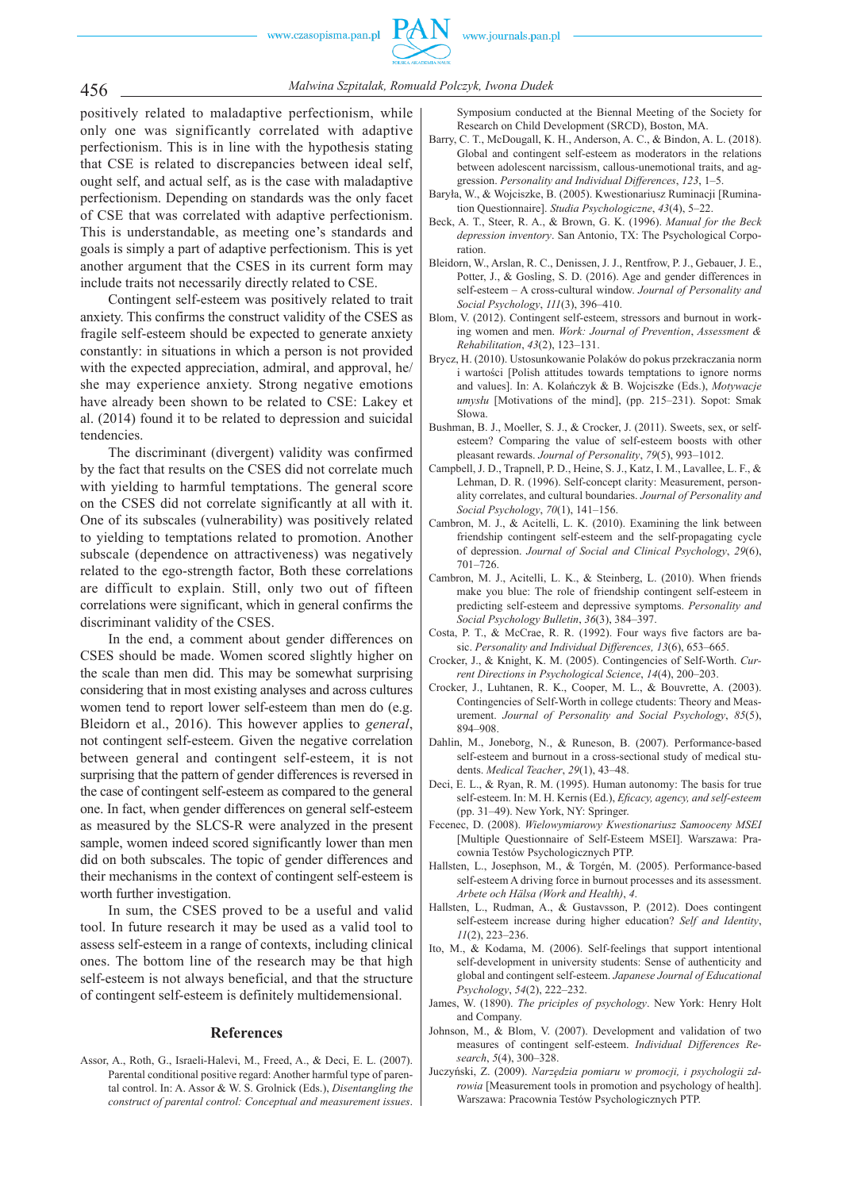

456 *Malwina Szpitalak, Romuald Polczyk, Iwona Dudek*

positively related to maladaptive perfectionism, while only one was significantly correlated with adaptive perfectionism. This is in line with the hypothesis stating that CSE is related to discrepancies between ideal self, ought self, and actual self, as is the case with maladaptive perfectionism. Depending on standards was the only facet of CSE that was correlated with adaptive perfectionism. This is understandable, as meeting one's standards and goals is simply a part of adaptive perfectionism. This is yet another argument that the CSES in its current form may include traits not necessarily directly related to CSE.

Contingent self-esteem was positively related to trait anxiety. This confirms the construct validity of the CSES as fragile self-esteem should be expected to generate anxiety constantly: in situations in which a person is not provided with the expected appreciation, admiral, and approval, he/ she may experience anxiety. Strong negative emotions have already been shown to be related to CSE: Lakey et al. (2014) found it to be related to depression and suicidal tendencies.

The discriminant (divergent) validity was confirmed by the fact that results on the CSES did not correlate much with yielding to harmful temptations. The general score on the CSES did not correlate significantly at all with it. One of its subscales (vulnerability) was positively related to yielding to temptations related to promotion. Another subscale (dependence on attractiveness) was negatively related to the ego-strength factor, Both these correlations are difficult to explain. Still, only two out of fifteen correlations were significant, which in general confirms the discriminant validity of the CSES.

In the end, a comment about gender differences on CSES should be made. Women scored slightly higher on the scale than men did. This may be somewhat surprising considering that in most existing analyses and across cultures women tend to report lower self-esteem than men do (e.g. Bleidorn et al., 2016). This however applies to *general*, not contingent self-esteem. Given the negative correlation between general and contingent self-esteem, it is not surprising that the pattern of gender differences is reversed in the case of contingent self-esteem as compared to the general one. In fact, when gender differences on general self-esteem as measured by the SLCS-R were analyzed in the present sample, women indeed scored significantly lower than men did on both subscales. The topic of gender differences and their mechanisms in the context of contingent self-esteem is worth further investigation.

In sum, the CSES proved to be a useful and valid tool. In future research it may be used as a valid tool to assess self-esteem in a range of contexts, including clinical ones. The bottom line of the research may be that high self-esteem is not always beneficial, and that the structure of contingent self-esteem is definitely multidemensional.

#### **References**

Assor, A., Roth, G., Israeli-Halevi, M., Freed, A., & Deci, E. L. (2007). Parental conditional positive regard: Another harmful type of parental control. In: A. Assor & W. S. Grolnick (Eds.), *Disentangling the construct of parental control: Conceptual and measurement issues*.

Symposium conducted at the Biennal Meeting of the Society for Research on Child Development (SRCD), Boston, MA.

- Barry, C. T., McDougall, K. H., Anderson, A. C., & Bindon, A. L. (2018). Global and contingent self-esteem as moderators in the relations between adolescent narcissism, callous-unemotional traits, and aggression. *Personality and Individual Differences*, *123*, 1–5.
- Baryła, W., & Wojciszke, B. (2005). Kwestionariusz Ruminacji [Rumination Questionnaire]. *Studia Psychologiczne*, *43*(4), 5–22.
- Beck, A. T., Steer, R. A., & Brown, G. K. (1996). *Manual for the Beck depression inventory*. San Antonio, TX: The Psychological Corporation.
- Bleidorn, W., Arslan, R. C., Denissen, J. J., Rentfrow, P. J., Gebauer, J. E., Potter, J., & Gosling, S. D. (2016). Age and gender differences in self-esteem – A cross-cultural window. *Journal of Personality and Social Psychology*, *111*(3), 396–410.
- Blom, V. (2012). Contingent self-esteem, stressors and burnout in working women and men. *Work: Journal of Prevention*, *Assessment & Rehabilitation*, *43*(2), 123–131.
- Brycz, H. (2010). Ustosunkowanie Polaków do pokus przekraczania norm i wartości [Polish attitudes towards temptations to ignore norms and values]. In: A. Kolańczyk & B. Wojciszke (Eds.), *Motywacje umysłu* [Motivations of the mind], (pp. 215–231). Sopot: Smak Słowa.
- Bushman, B. J., Moeller, S. J., & Crocker, J. (2011). Sweets, sex, or selfesteem? Comparing the value of self-esteem boosts with other pleasant rewards. *Journal of Personality*, *79*(5), 993–1012.
- Campbell, J. D., Trapnell, P. D., Heine, S. J., Katz, I. M., Lavallee, L. F., & Lehman, D. R. (1996). Self-concept clarity: Measurement, personality correlates, and cultural boundaries. *Journal of Personality and Social Psychology*, *70*(1), 141–156.
- Cambron, M. J., & Acitelli, L. K. (2010). Examining the link between friendship contingent self-esteem and the self-propagating cycle of depression. *Journal of Social and Clinical Psychology*, *29*(6), 701–726.
- Cambron, M. J., Acitelli, L. K., & Steinberg, L. (2010). When friends make you blue: The role of friendship contingent self-esteem in predicting self-esteem and depressive symptoms. *Personality and Social Psychology Bulletin*, *36*(3), 384–397.
- Costa, P. T., & McCrae, R. R. (1992). Four ways five factors are basic. *Personality and Individual Differences, 13*(6), 653–665.
- Crocker, J., & Knight, K. M. (2005). Contingencies of Self-Worth. *Current Directions in Psychological Science*, *14*(4), 200–203.
- Crocker, J., Luhtanen, R. K., Cooper, M. L., & Bouvrette, A. (2003). Contingencies of Self-Worth in college ctudents: Theory and Measurement. *Journal of Personality and Social Psychology*, *85*(5), 894–908.
- Dahlin, M., Joneborg, N., & Runeson, B. (2007). Performance-based self-esteem and burnout in a cross-sectional study of medical students. *Medical Teacher*, *29*(1), 43–48.
- Deci, E. L., & Ryan, R. M. (1995). Human autonomy: The basis for true self-esteem. In: M. H. Kernis (Ed.), *Eficacy, agency, and self-esteem* (pp. 31–49). New York, NY: Springer.
- Fecenec, D. (2008). *Wielowymiarowy Kwestionariusz Samooceny MSEI* [Multiple Questionnaire of Self-Esteem MSEI]. Warszawa: Pracownia Testów Psychologicznych PTP.
- Hallsten, L., Josephson, M., & Torgén, M. (2005). Performance-based self-esteem A driving force in burnout processes and its assessment. *Arbete och Hälsa (Work and Health)*, *4*.
- Hallsten, L., Rudman, A., & Gustavsson, P. (2012). Does contingent self-esteem increase during higher education? *Self and Identity*, *11*(2), 223–236.
- Ito, M., & Kodama, M. (2006). Self-feelings that support intentional self-development in university students: Sense of authenticity and global and contingent self-esteem. *Japanese Journal of Educational Psychology*, *54*(2), 222–232.
- James, W. (1890). *The priciples of psychology*. New York: Henry Holt and Company.
- Johnson, M., & Blom, V. (2007). Development and validation of two measures of contingent self-esteem. *Individual Differences Research*, *5*(4), 300–328.
- Juczyński, Z. (2009). *Narzędzia pomiaru w promocji, i psychologii zdrowia* [Measurement tools in promotion and psychology of health]. Warszawa: Pracownia Testów Psychologicznych PTP.